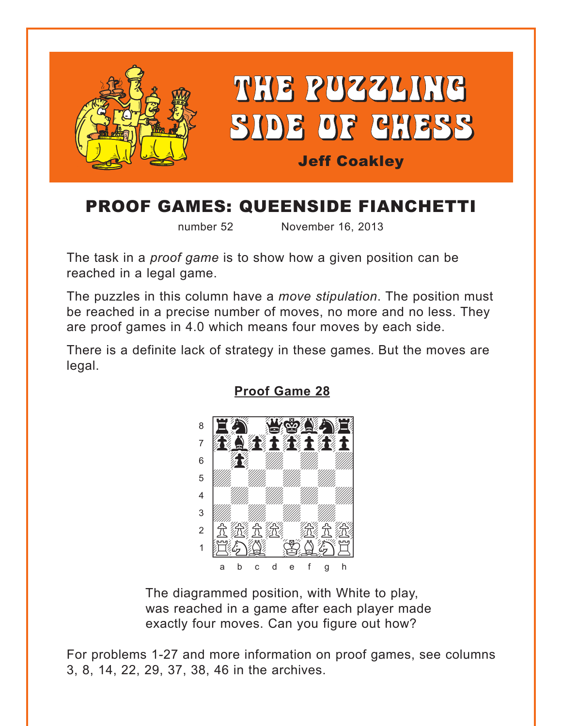<span id="page-0-0"></span>

# PROOF GAMES: QUEENSIDE FIANCHETTI

number 52 November 16, 2013

The task in a *proof game* is to show how a given position can be reached in a legal game.

The puzzles in this column have a *move stipulation*. The position must be reached in a precise number of moves, no more and no less. They are proof games in 4.0 which means four moves by each side.

There is a definite lack of strategy in these games*.* But the moves are legal.



**[Proof Game 28](#page-4-0)**

The diagrammed position, with White to play, was reached in a game after each player made exactly four moves. Can you figure out how?

For problems 1-27 and more information on proof games, see columns 3, 8, 14, 22, 29, 37, 38, 46 in the archives.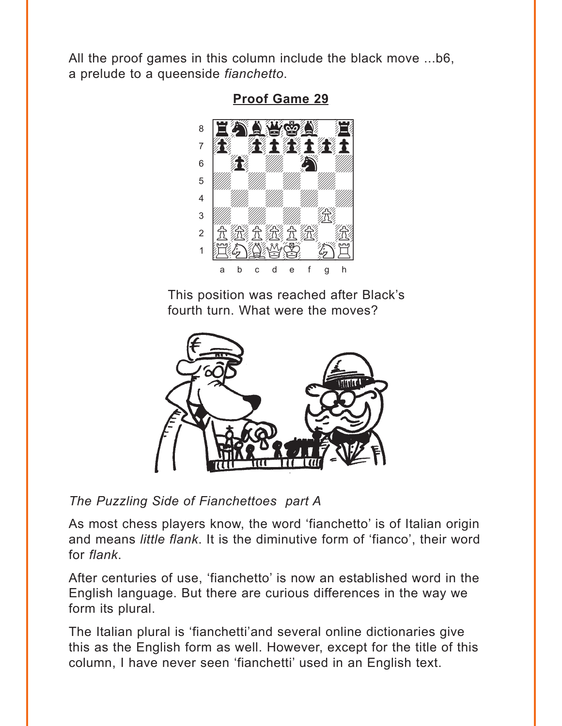<span id="page-1-0"></span>All the proof games in this column include the black move ...b6, a prelude to a queenside fianchetto.



**Proof Game 29** 

This position was reached after Black's fourth turn. What were the moves?



The Puzzling Side of Fianchettoes part A

As most chess players know, the word 'fianchetto' is of Italian origin and means *little flank*. It is the diminutive form of 'fianco', their word for *flank*.

After centuries of use, 'fianchetto' is now an established word in the English language. But there are curious differences in the way we form its plural.

The Italian plural is 'fianchetti'and several online dictionaries give this as the English form as well. However, except for the title of this column, I have never seen 'fianchetti' used in an English text.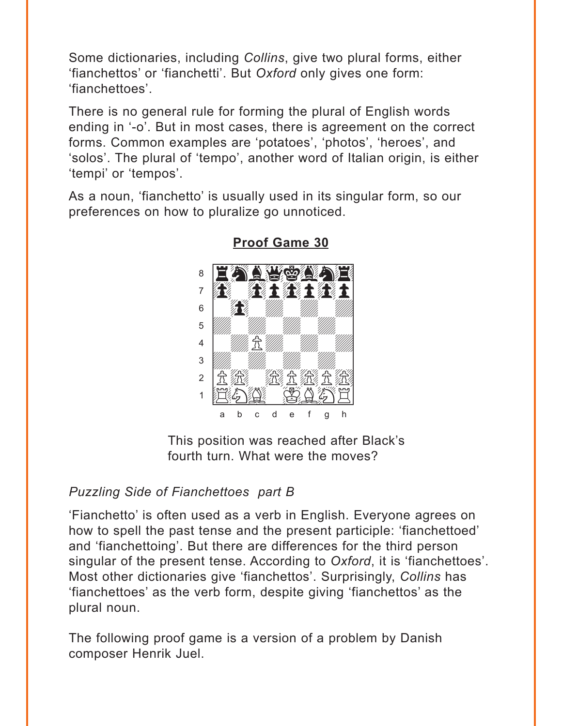<span id="page-2-0"></span>Some dictionaries, including Collins, give two plural forms, either 'fianchettos' or 'fianchetti'. But Oxford only gives one form: 'fianchettoes'

There is no general rule for forming the plural of English words ending in '-o'. But in most cases, there is agreement on the correct forms. Common examples are 'potatoes', 'photos', 'heroes', and 'solos'. The plural of 'tempo', another word of Italian origin, is either 'tempi' or 'tempos'.

As a noun, 'fianchetto' is usually used in its singular form, so our preferences on how to pluralize go unnoticed.



**Proof Game 30** 

This position was reached after Black's fourth turn. What were the moves?

#### **Puzzling Side of Fianchettoes part B**

'Fianchetto' is often used as a verb in English. Everyone agrees on how to spell the past tense and the present participle: 'fianchettoed' and 'fianchettoing'. But there are differences for the third person singular of the present tense. According to Oxford, it is 'fianchettoes'. Most other dictionaries give 'fianchettos'. Surprisingly, Collins has 'fianchettoes' as the verb form, despite giving 'fianchettos' as the plural noun.

The following proof game is a version of a problem by Danish composer Henrik Juel.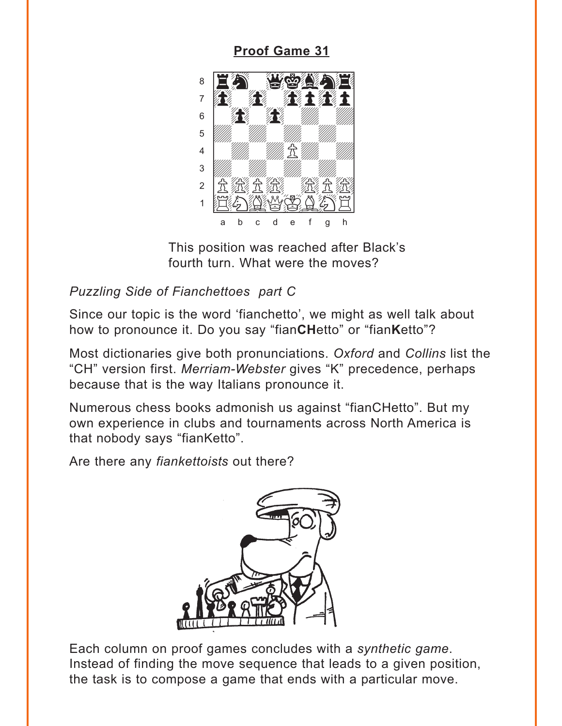### **Proof Game 31**

<span id="page-3-0"></span>

This position was reached after Black's fourth turn. What were the moves?

### Puzzling Side of Fianchettoes part C

Since our topic is the word 'fianchetto', we might as well talk about how to pronounce it. Do you say "fianCHetto" or "fianKetto"?

Most dictionaries give both pronunciations. Oxford and Collins list the "CH" version first. Merriam-Webster gives "K" precedence, perhaps because that is the way Italians pronounce it.

Numerous chess books admonish us against "fianCHetto". But my own experience in clubs and tournaments across North America is that nobody says "fianKetto".

Are there any fiankettoists out there?



Each column on proof games concludes with a synthetic game. Instead of finding the move sequence that leads to a given position, the task is to compose a game that ends with a particular move.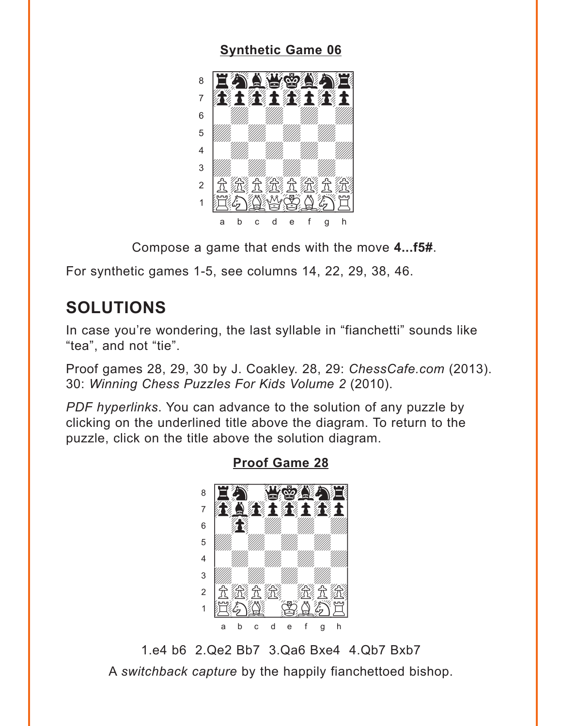#### **Synthetic Game 06**

<span id="page-4-0"></span>

Compose a game that ends with the move 4... f5#.

For synthetic games 1-5, see columns 14, 22, 29, 38, 46.

# **SOLUTIONS**

In case you're wondering, the last syllable in "fianchetti" sounds like "tea", and not "tie".

Proof games 28, 29, 30 by J. Coakley. 28, 29: ChessCafe.com (2013). 30: Winning Chess Puzzles For Kids Volume 2 (2010).

PDF hyperlinks. You can advance to the solution of any puzzle by clicking on the underlined title above the diagram. To return to the puzzle, click on the title above the solution diagram.



**Proof Game 28** 

1.e4 b6 2.Qe2 Bb7 3.Qa6 Bxe4 4.Qb7 Bxb7 A switchback capture by the happily fianchettoed bishop.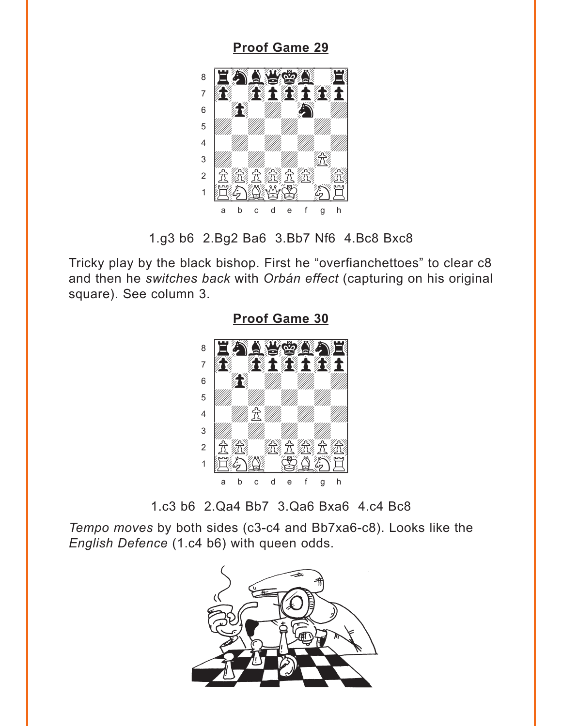<span id="page-5-0"></span>

1.g3 b6 2.Bg2 Ba6 3.Bb7 Nf6 4.Bc8 Bxc8

Tricky play by the black bishop. First he "overfianchettoes" to clear c8 and then he *switches back* with *Orbán effect* (capturing on his original square). See column 3.



**[Proof Game 30](#page-2-0)**

1.c3 b6 2.Qa4 Bb7 3.Qa6 Bxa6 4.c4 Bc8

*Tempo moves* by both sides (c3-c4 and Bb7xa6-c8). Looks like the *English Defence* (1.c4 b6) with queen odds.

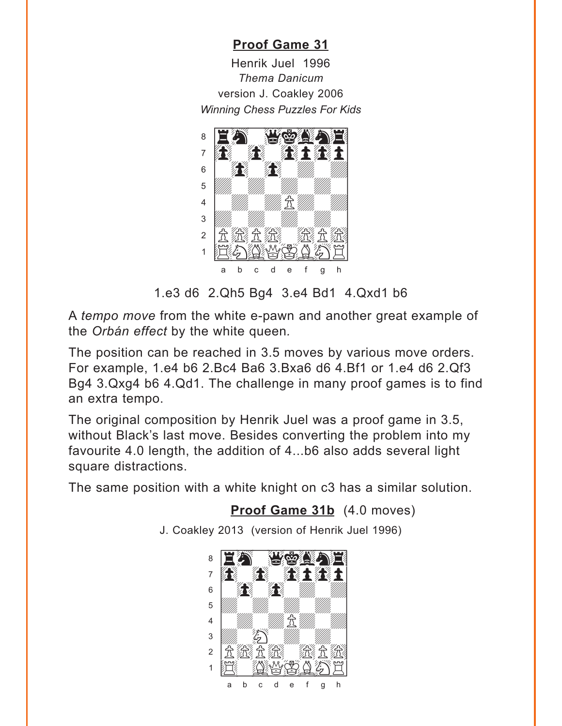## **[Proof Game 31](#page-3-0)**

<span id="page-6-0"></span>Henrik Juel 1996 *Thema Danicum* version J. Coakley 2006 *Winning Chess Puzzles For Kids* 



1.e3 d6 2.Qh5 Bg4 3.e4 Bd1 4.Qxd1 b6

A *tempo move* from the white e-pawn and another great example of the *Orbán effect* by the white queen*.*

The position can be reached in 3.5 moves by various move orders. For example, 1.e4 b6 2.Bc4 Ba6 3.Bxa6 d6 4.Bf1 or 1.e4 d6 2.Qf3 Bg4 3.Qxg4 b6 4.Qd1. The challenge in many proof games is to find an extra tempo.

The original composition by Henrik Juel was a proof game in 3.5, without Black's last move. Besides converting the problem into my favourite 4.0 length, the addition of 4...b6 also adds several light square distractions.

The same position with a white knight on c3 has a similar solution.

**[Proof Game 31b](#page-7-0)** (4.0 moves)

J. Coakley 2013 (version of Henrik Juel 1996)

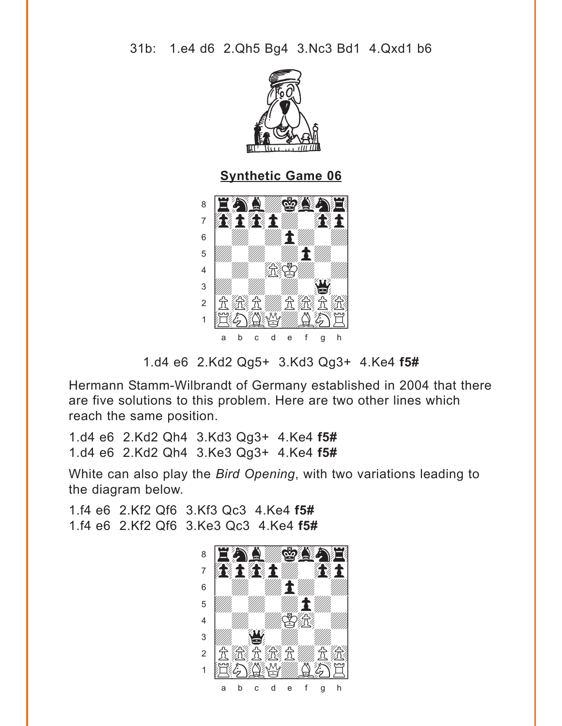<span id="page-7-0"></span>

**Synthetic Game 06** 



<sup>1.</sup>d4 e6 2.Kd2 Qg5+ 3.Kd3 Qg3+ 4.Ke4 f5#

Hermann Stamm-Wilbrandt of Germany established in 2004 that there are five solutions to this problem. Here are two other lines which reach the same position.

1.d4 e6 2.Kd2 Qh4 3.Kd3 Qg3+ 4.Ke4 f5# 1.d4 e6 2.Kd2 Qh4 3.Ke3 Qg3+ 4.Ke4 f5#

White can also play the Bird Opening, with two variations leading to the diagram below.

1.f4 e6 2.Kf2 Qf6 3.Kf3 Qc3 4.Ke4 f5# 1.f4 e6 2.Kf2 Qf6 3.Ke3 Qc3 4.Ke4 f5#